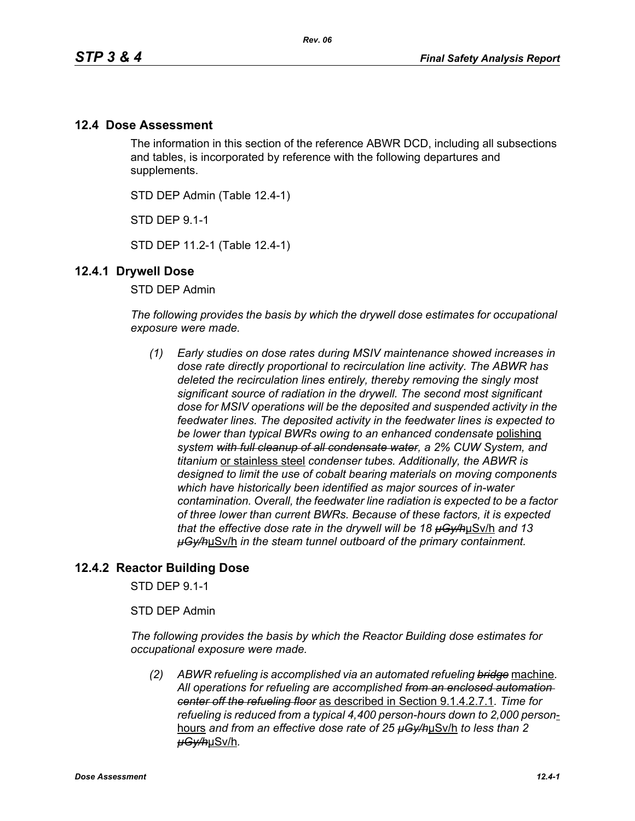## **12.4 Dose Assessment**

The information in this section of the reference ABWR DCD, including all subsections and tables, is incorporated by reference with the following departures and supplements.

STD DEP Admin (Table 12.4-1)

STD DEP 9.1-1

STD DEP 11.2-1 (Table 12.4-1)

## **12.4.1 Drywell Dose**

STD DEP Admin

*The following provides the basis by which the drywell dose estimates for occupational exposure were made.*

*(1) Early studies on dose rates during MSIV maintenance showed increases in dose rate directly proportional to recirculation line activity. The ABWR has deleted the recirculation lines entirely, thereby removing the singly most significant source of radiation in the drywell. The second most significant dose for MSIV operations will be the deposited and suspended activity in the feedwater lines. The deposited activity in the feedwater lines is expected to be lower than typical BWRs owing to an enhanced condensate* polishing *system with full cleanup of all condensate water, a 2% CUW System, and titanium* or stainless steel *condenser tubes. Additionally, the ABWR is designed to limit the use of cobalt bearing materials on moving components which have historically been identified as major sources of in-water contamination. Overall, the feedwater line radiation is expected to be a factor of three lower than current BWRs. Because of these factors, it is expected that the effective dose rate in the drywell will be 18 µGy/h*µSv/h *and 13 µGy/h*µSv/h *in the steam tunnel outboard of the primary containment.* 

## **12.4.2 Reactor Building Dose**

STD DEP 9.1-1

STD DEP Admin

*The following provides the basis by which the Reactor Building dose estimates for occupational exposure were made.*

*(2) ABWR refueling is accomplished via an automated refueling bridge* machine*. All operations for refueling are accomplished from an enclosed automation center off the refueling floor* as described in Section 9.1.4.2.7.1*. Time for refueling is reduced from a typical 4,400 person-hours down to 2,000 person*hours *and from an effective dose rate of 25 µGy/h*µSv/h *to less than 2 µGy/h*µSv/h*.*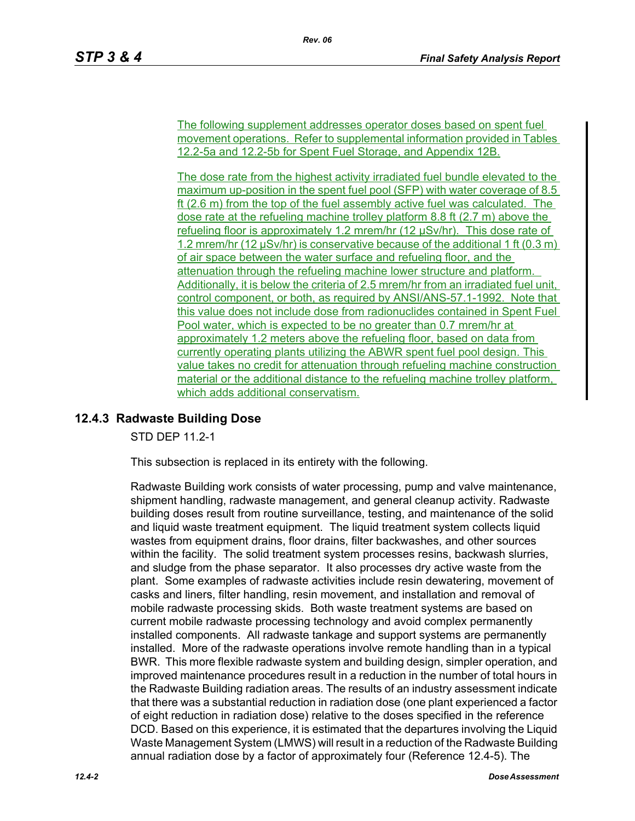The following supplement addresses operator doses based on spent fuel movement operations. Refer to supplemental information provided in Tables 12.2-5a and 12.2-5b for Spent Fuel Storage, and Appendix 12B.

The dose rate from the highest activity irradiated fuel bundle elevated to the maximum up-position in the spent fuel pool (SFP) with water coverage of 8.5 ft (2.6 m) from the top of the fuel assembly active fuel was calculated. The dose rate at the refueling machine trolley platform 8.8 ft (2.7 m) above the refueling floor is approximately 1.2 mrem/hr (12 µSv/hr). This dose rate of 1.2 mrem/hr (12 µSv/hr) is conservative because of the additional 1 ft (0.3 m) of air space between the water surface and refueling floor, and the attenuation through the refueling machine lower structure and platform. Additionally, it is below the criteria of 2.5 mrem/hr from an irradiated fuel unit, control component, or both, as required by ANSI/ANS-57.1-1992. Note that this value does not include dose from radionuclides contained in Spent Fuel Pool water, which is expected to be no greater than 0.7 mrem/hr at approximately 1.2 meters above the refueling floor, based on data from currently operating plants utilizing the ABWR spent fuel pool design. This value takes no credit for attenuation through refueling machine construction material or the additional distance to the refueling machine trolley platform, which adds additional conservatism.

# **12.4.3 Radwaste Building Dose**

STD DEP 11.2-1

This subsection is replaced in its entirety with the following.

Radwaste Building work consists of water processing, pump and valve maintenance, shipment handling, radwaste management, and general cleanup activity. Radwaste building doses result from routine surveillance, testing, and maintenance of the solid and liquid waste treatment equipment. The liquid treatment system collects liquid wastes from equipment drains, floor drains, filter backwashes, and other sources within the facility. The solid treatment system processes resins, backwash slurries, and sludge from the phase separator. It also processes dry active waste from the plant. Some examples of radwaste activities include resin dewatering, movement of casks and liners, filter handling, resin movement, and installation and removal of mobile radwaste processing skids. Both waste treatment systems are based on current mobile radwaste processing technology and avoid complex permanently installed components. All radwaste tankage and support systems are permanently installed. More of the radwaste operations involve remote handling than in a typical BWR. This more flexible radwaste system and building design, simpler operation, and improved maintenance procedures result in a reduction in the number of total hours in the Radwaste Building radiation areas. The results of an industry assessment indicate that there was a substantial reduction in radiation dose (one plant experienced a factor of eight reduction in radiation dose) relative to the doses specified in the reference DCD. Based on this experience, it is estimated that the departures involving the Liquid Waste Management System (LMWS) will result in a reduction of the Radwaste Building annual radiation dose by a factor of approximately four (Reference 12.4-5). The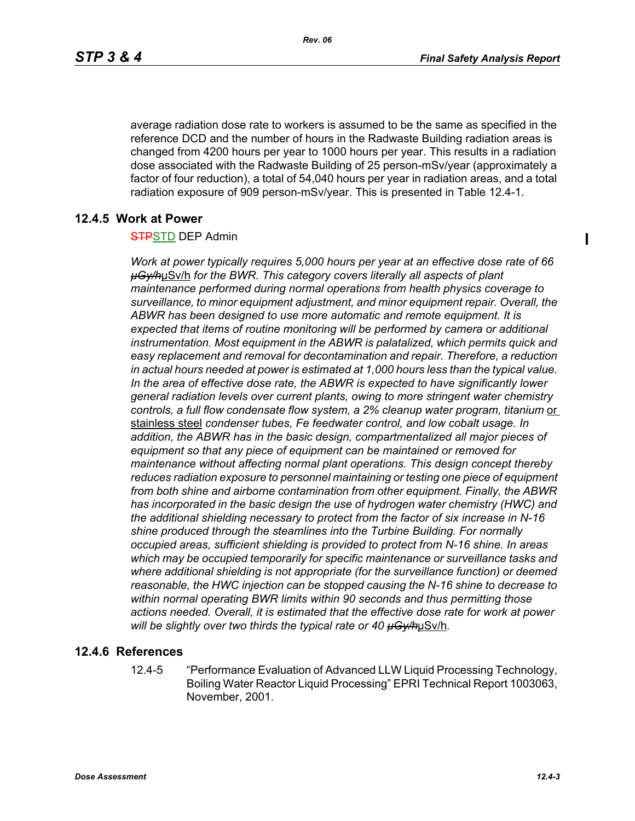$\blacksquare$ 

average radiation dose rate to workers is assumed to be the same as specified in the reference DCD and the number of hours in the Radwaste Building radiation areas is changed from 4200 hours per year to 1000 hours per year. This results in a radiation dose associated with the Radwaste Building of 25 person-mSv/year (approximately a factor of four reduction), a total of 54,040 hours per year in radiation areas, and a total radiation exposure of 909 person-mSv/year. This is presented in Table 12.4-1.

## **12.4.5 Work at Power**

#### **STPSTD DEP Admin**

*Work at power typically requires 5,000 hours per year at an effective dose rate of 66 µGy/h*µSv/h *for the BWR. This category covers literally all aspects of plant maintenance performed during normal operations from health physics coverage to surveillance, to minor equipment adjustment, and minor equipment repair. Overall, the ABWR has been designed to use more automatic and remote equipment. It is expected that items of routine monitoring will be performed by camera or additional instrumentation. Most equipment in the ABWR is palatalized, which permits quick and easy replacement and removal for decontamination and repair. Therefore, a reduction in actual hours needed at power is estimated at 1,000 hours less than the typical value. In the area of effective dose rate, the ABWR is expected to have significantly lower general radiation levels over current plants, owing to more stringent water chemistry*  controls, a full flow condensate flow system, a 2% cleanup water program, titanium or stainless steel *condenser tubes, Fe feedwater control, and low cobalt usage. In addition, the ABWR has in the basic design, compartmentalized all major pieces of equipment so that any piece of equipment can be maintained or removed for maintenance without affecting normal plant operations. This design concept thereby reduces radiation exposure to personnel maintaining or testing one piece of equipment from both shine and airborne contamination from other equipment. Finally, the ABWR has incorporated in the basic design the use of hydrogen water chemistry (HWC) and the additional shielding necessary to protect from the factor of six increase in N-16 shine produced through the steamlines into the Turbine Building. For normally occupied areas, sufficient shielding is provided to protect from N-16 shine. In areas which may be occupied temporarily for specific maintenance or surveillance tasks and where additional shielding is not appropriate (for the surveillance function) or deemed reasonable, the HWC injection can be stopped causing the N-16 shine to decrease to within normal operating BWR limits within 90 seconds and thus permitting those actions needed. Overall, it is estimated that the effective dose rate for work at power will be slightly over two thirds the typical rate or 40 µGy/h*µSv/h*.*

#### **12.4.6 References**

12.4-5 "Performance Evaluation of Advanced LLW Liquid Processing Technology, Boiling Water Reactor Liquid Processing" EPRI Technical Report 1003063, November, 2001.